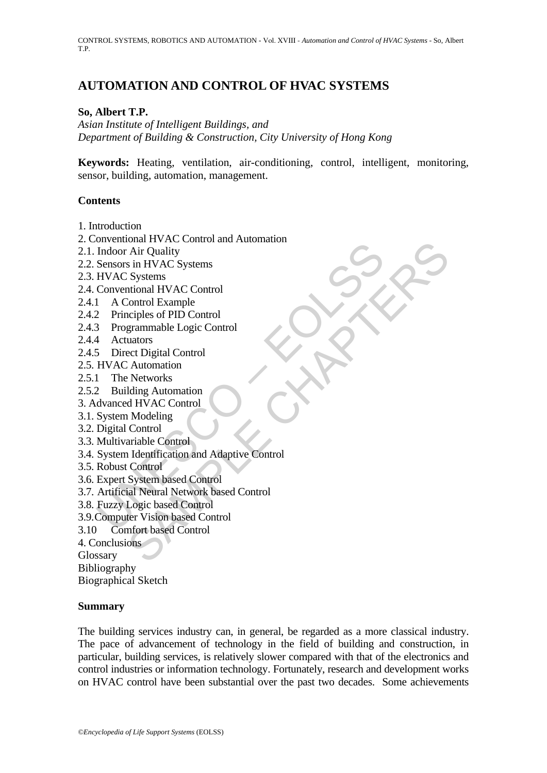# **AUTOMATION AND CONTROL OF HVAC SYSTEMS**

### **So, Albert T.P.**

*Asian Institute of Intelligent Buildings, and Department of Building & Construction, City University of Hong Kong* 

**Keywords:** Heating, ventilation, air-conditioning, control, intelligent, monitoring, sensor, building, automation, management.

### **Contents**

- 1. Introduction
- 2. Conventional HVAC Control and Automation
- 2.1. Indoor Air Quality
- 2.2. Sensors in HVAC Systems
- 2.3. HVAC Systems
- 2.4. Conventional HVAC Control
- 2.4.1 A Control Example
- 2.4.2 Principles of PID Control
- 2.4.3 Programmable Logic Control
- 2.4.4 Actuators
- 2.4.5 Direct Digital Control
- 2.5. HVAC Automation
- 2.5.1 The Networks
- 2.5.2 Building Automation
- 3. Advanced HVAC Control
- 3.1. System Modeling
- 3.2. Digital Control
- 3.3. Multivariable Control
- Findred HIVAC Systems<br>
Indoor Air Quality<br>
Sensors in HVAC Systems<br>
HVAC Systems<br>
Conventional HVAC Control<br>
2 Principles of PID Control<br>
2 Principles of PID Control<br>
3 Programmable Logic Control<br>
4 Actuators<br>
5 Direct Dig Main Write Control<br>
Air Quality<br>
s in HVAC Systems<br>
Systems<br>
Systems<br>
Systems<br>
Systems<br>
Systems<br>
Control<br>
control<br>
cannelle Logic Control<br>
and Maya Control<br>
Attornation<br>
d HVAC Control<br>
Control<br>
Modeling<br>
ariable Control<br> 3.4. System Identification and Adaptive Control
- 3.5. Robust Control
- 3.6. Expert System based Control
- 3.7. Artificial Neural Network based Control
- 3.8. Fuzzy Logic based Control
- 3.9.Computer Vision based Control
- 3.10 Comfort based Control

4. Conclusions

Glossary

Bibliography

Biographical Sketch

### **Summary**

The building services industry can, in general, be regarded as a more classical industry. The pace of advancement of technology in the field of building and construction, in particular, building services, is relatively slower compared with that of the electronics and control industries or information technology. Fortunately, research and development works on HVAC control have been substantial over the past two decades. Some achievements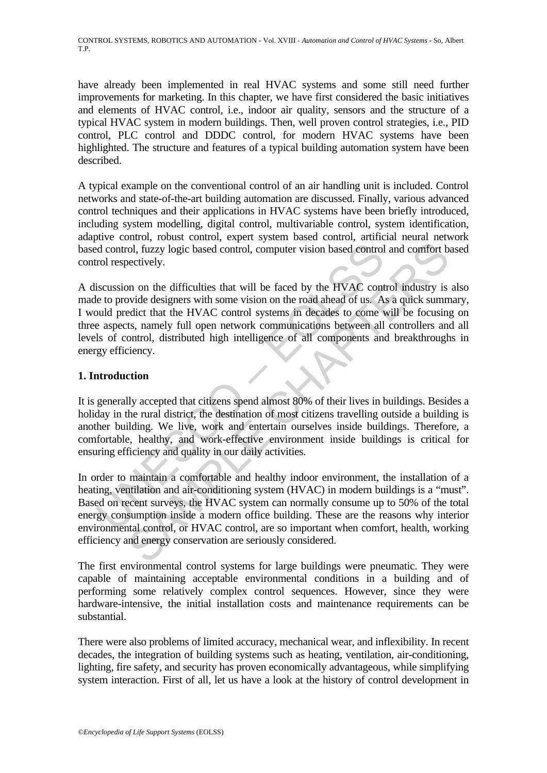have already been implemented in real HVAC systems and some still need further improvements for marketing. In this chapter, we have first considered the basic initiatives and elements of HVAC control, i.e., indoor air quality, sensors and the structure of a typical HVAC system in modern buildings. Then, well proven control strategies, i.e., PID control, PLC control and DDDC control, for modern HVAC systems have been highlighted. The structure and features of a typical building automation system have been described.

A typical example on the conventional control of an air handling unit is included. Control networks and state-of-the-art building automation are discussed. Finally, various advanced control techniques and their applications in HVAC systems have been briefly introduced, including system modelling, digital control, multivariable control, system identification, adaptive control, robust control, expert system based control, artificial neural network based control, fuzzy logic based control, computer vision based control and comfort based control respectively.

d control, fuzzy logic based control, computer vision based control<br>rol respectively.<br>iscussion on the difficulties that will be faced by the HVAC control respectively.<br>iscussion on the difficulties that will be faced by t Tool, fuzzy logic based control, computer vision based control and comfort bectively.<br>
In on the difficulties that will be faced by the HVAC control industry is<br>
bectively.<br>
In on the difficulties that will be faced by the A discussion on the difficulties that will be faced by the HVAC control industry is also made to provide designers with some vision on the road ahead of us. As a quick summary, I would predict that the HVAC control systems in decades to come will be focusing on three aspects, namely full open network communications between all controllers and all levels of control, distributed high intelligence of all components and breakthroughs in energy efficiency.

# **1. Introduction**

It is generally accepted that citizens spend almost 80% of their lives in buildings. Besides a holiday in the rural district, the destination of most citizens travelling outside a building is another building. We live, work and entertain ourselves inside buildings. Therefore, a comfortable, healthy, and work-effective environment inside buildings is critical for ensuring efficiency and quality in our daily activities.

In order to maintain a comfortable and healthy indoor environment, the installation of a heating, ventilation and air-conditioning system (HVAC) in modern buildings is a "must". Based on recent surveys, the HVAC system can normally consume up to 50% of the total energy consumption inside a modern office building. These are the reasons why interior environmental control, or HVAC control, are so important when comfort, health, working efficiency and energy conservation are seriously considered.

The first environmental control systems for large buildings were pneumatic. They were capable of maintaining acceptable environmental conditions in a building and of performing some relatively complex control sequences. However, since they were hardware-intensive, the initial installation costs and maintenance requirements can be substantial.

There were also problems of limited accuracy, mechanical wear, and inflexibility. In recent decades, the integration of building systems such as heating, ventilation, air-conditioning, lighting, fire safety, and security has proven economically advantageous, while simplifying system interaction. First of all, let us have a look at the history of control development in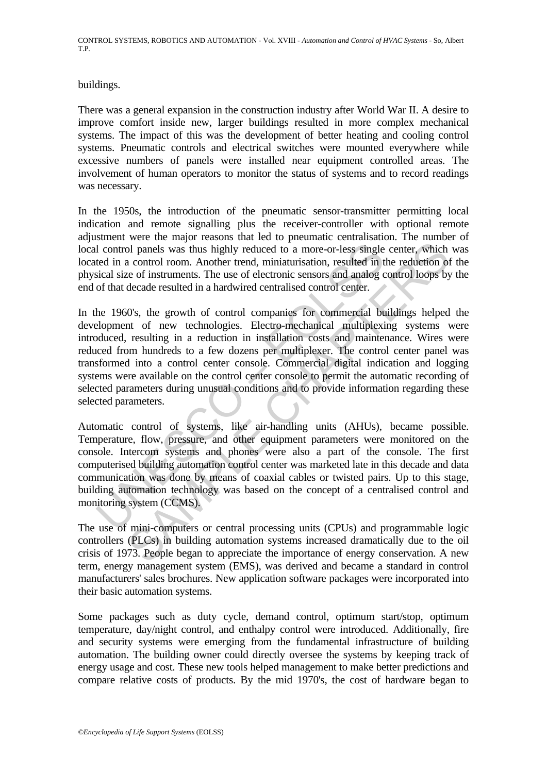buildings.

There was a general expansion in the construction industry after World War II. A desire to improve comfort inside new, larger buildings resulted in more complex mechanical systems. The impact of this was the development of better heating and cooling control systems. Pneumatic controls and electrical switches were mounted everywhere while excessive numbers of panels were installed near equipment controlled areas. The involvement of human operators to monitor the status of systems and to record readings was necessary.

In the 1950s, the introduction of the pneumatic sensor-transmitter permitting local indication and remote signalling plus the receiver-controller with optional remote adjustment were the major reasons that led to pneumatic centralisation. The number of local control panels was thus highly reduced to a more-or-less single center, which was located in a control room. Another trend, miniaturisation, resulted in the reduction of the physical size of instruments. The use of electronic sensors and analog control loops by the end of that decade resulted in a hardwired centralised control center.

1 control panels was thus highly reduced to a more-or-less single<br>ted in a control room. Another trend, miniaturisation, resulted in t<br>sical size of instruments. The use of electronic sensors and analog c<br>of that decade re b) panels was thus highly reduced to a more-or-less single center, which a control room. Another trend, miniaturisation, resulted in the reduction of exercise of instruments. The use of electronic sensors and analog contro In the 1960's, the growth of control companies for commercial buildings helped the development of new technologies. Electro-mechanical multiplexing systems were introduced, resulting in a reduction in installation costs and maintenance. Wires were reduced from hundreds to a few dozens per multiplexer. The control center panel was transformed into a control center console. Commercial digital indication and logging systems were available on the control center console to permit the automatic recording of selected parameters during unusual conditions and to provide information regarding these selected parameters.

Automatic control of systems, like air-handling units (AHUs), became possible. Temperature, flow, pressure, and other equipment parameters were monitored on the console. Intercom systems and phones were also a part of the console. The first computerised building automation control center was marketed late in this decade and data communication was done by means of coaxial cables or twisted pairs. Up to this stage, building automation technology was based on the concept of a centralised control and monitoring system (CCMS).

The use of mini-computers or central processing units (CPUs) and programmable logic controllers (PLCs) in building automation systems increased dramatically due to the oil crisis of 1973. People began to appreciate the importance of energy conservation. A new term, energy management system (EMS), was derived and became a standard in control manufacturers' sales brochures. New application software packages were incorporated into their basic automation systems.

Some packages such as duty cycle, demand control, optimum start/stop, optimum temperature, day/night control, and enthalpy control were introduced. Additionally, fire and security systems were emerging from the fundamental infrastructure of building automation. The building owner could directly oversee the systems by keeping track of energy usage and cost. These new tools helped management to make better predictions and compare relative costs of products. By the mid 1970's, the cost of hardware began to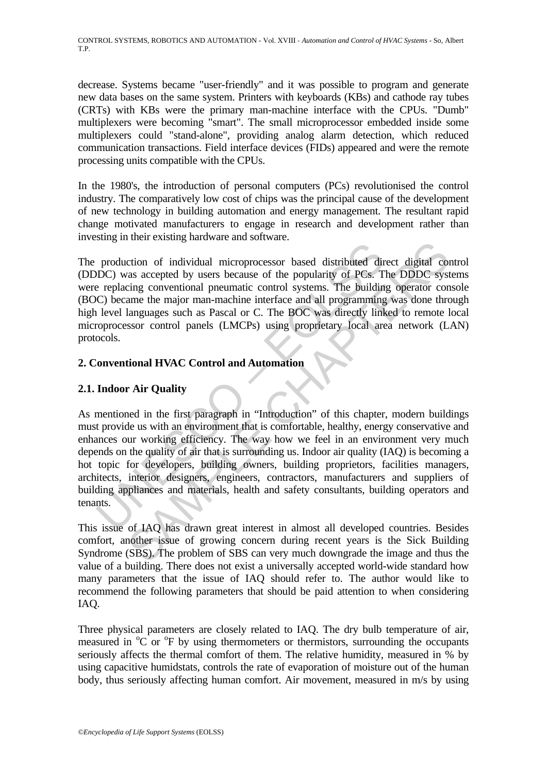decrease. Systems became "user-friendly" and it was possible to program and generate new data bases on the same system. Printers with keyboards (KBs) and cathode ray tubes (CRTs) with KBs were the primary man-machine interface with the CPUs. "Dumb" multiplexers were becoming "smart". The small microprocessor embedded inside some multiplexers could "stand-alone", providing analog alarm detection, which reduced communication transactions. Field interface devices (FIDs) appeared and were the remote processing units compatible with the CPUs.

In the 1980's, the introduction of personal computers (PCs) revolutionised the control industry. The comparatively low cost of chips was the principal cause of the development of new technology in building automation and energy management. The resultant rapid change motivated manufacturers to engage in research and development rather than investing in their existing hardware and software.

The production of individual microprocessor based distributed direct digital control (DDDC) was accepted by users because of the popularity of PCs. The DDDC systems were replacing conventional pneumatic control systems. The building operator console (BOC) became the major man-machine interface and all programming was done through high level languages such as Pascal or C. The BOC was directly linked to remote local microprocessor control panels (LMCPs) using proprietary local area network (LAN) protocols.

# **2. Conventional HVAC Control and Automation**

### **2.1. Indoor Air Quality**

production of individual microprocessor based distributed dip<br>production of individual microprocessor based distributed dip<br>replacing conventional pneumatic control systems. The buildin<br>in level languages such as Pascal or The manning mathematic method and statistical direct digital correlation of individual microprocessor based distributed direct digital correlations are accepted by users because of the popularity of PCs. The DDDC systems c As mentioned in the first paragraph in "Introduction" of this chapter, modern buildings must provide us with an environment that is comfortable, healthy, energy conservative and enhances our working efficiency. The way how we feel in an environment very much depends on the quality of air that is surrounding us. Indoor air quality (IAQ) is becoming a hot topic for developers, building owners, building proprietors, facilities managers, architects, interior designers, engineers, contractors, manufacturers and suppliers of building appliances and materials, health and safety consultants, building operators and tenants.

This issue of IAQ has drawn great interest in almost all developed countries. Besides comfort, another issue of growing concern during recent years is the Sick Building Syndrome (SBS). The problem of SBS can very much downgrade the image and thus the value of a building. There does not exist a universally accepted world-wide standard how many parameters that the issue of IAQ should refer to. The author would like to recommend the following parameters that should be paid attention to when considering IAQ.

Three physical parameters are closely related to IAQ. The dry bulb temperature of air, measured in <sup>o</sup>C or <sup>o</sup>F by using thermometers or thermistors, surrounding the occupants seriously affects the thermal comfort of them. The relative humidity, measured in  $\frac{1}{2}$  by using capacitive humidstats, controls the rate of evaporation of moisture out of the human body, thus seriously affecting human comfort. Air movement, measured in m/s by using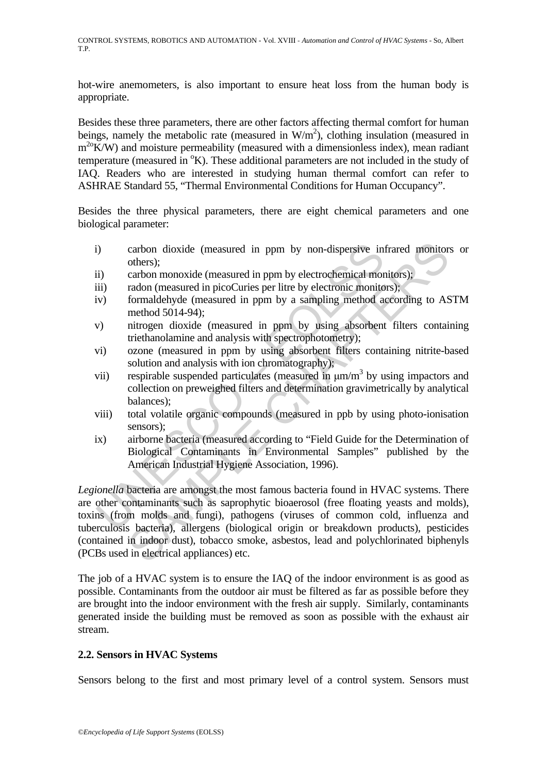hot-wire anemometers, is also important to ensure heat loss from the human body is appropriate.

Besides these three parameters, there are other factors affecting thermal comfort for human beings, namely the metabolic rate (measured in  $W/m<sup>2</sup>$ ), clothing insulation (measured in  $m^{20}$ K/W) and moisture permeability (measured with a dimensionless index), mean radiant temperature (measured in  ${}^{\circ}K$ ). These additional parameters are not included in the study of IAQ. Readers who are interested in studying human thermal comfort can refer to ASHRAE Standard 55, "Thermal Environmental Conditions for Human Occupancy".

Besides the three physical parameters, there are eight chemical parameters and one biological parameter:

- i) carbon dioxide (measured in ppm by non-dispersive infrared monitors or others);
- ii) carbon monoxide (measured in ppm by electrochemical monitors);
- iii) radon (measured in picoCuries per litre by electronic monitors);
- iv) formaldehyde (measured in ppm by a sampling method according to ASTM method 5014-94);
- v) nitrogen dioxide (measured in ppm by using absorbent filters containing triethanolamine and analysis with spectrophotometry);
- vi) ozone (measured in ppm by using absorbent filters containing nitrite-based solution and analysis with ion chromatography);
- vii) respirable suspended particulates (measured in  $\mu$ m/m<sup>3</sup> by using impactors and collection on preweighed filters and determination gravimetrically by analytical balances);
- viii) total volatile organic compounds (measured in ppb by using photo-ionisation sensors);
- ix) airborne bacteria (measured according to "Field Guide for the Determination of Biological Contaminants in Environmental Samples" published by the American Industrial Hygiene Association, 1996).

i) carbon dioxide (measured in ppm by non-dispersive in others);<br>
(ii) carbon monoxide (measured in ppm by electrochemical more and<br>
(iii) radon (measured in picoCuries per litre by electronic monitor<br>
(iv) formaldehyde ( carbon dioxide (measured in ppm by non-dispersive infrared monitor<br>others);<br>carbon monoxide (measured in ppm by electrochemical monitors);<br>carbon monoxide (measured in ppm by electronic monitors);<br>formaldehyde (measured i *Legionella* bacteria are amongst the most famous bacteria found in HVAC systems. There are other contaminants such as saprophytic bioaerosol (free floating yeasts and molds), toxins (from molds and fungi), pathogens (viruses of common cold, influenza and tuberculosis bacteria), allergens (biological origin or breakdown products), pesticides (contained in indoor dust), tobacco smoke, asbestos, lead and polychlorinated biphenyls (PCBs used in electrical appliances) etc.

The job of a HVAC system is to ensure the IAQ of the indoor environment is as good as possible. Contaminants from the outdoor air must be filtered as far as possible before they are brought into the indoor environment with the fresh air supply. Similarly, contaminants generated inside the building must be removed as soon as possible with the exhaust air stream.

# **2.2. Sensors in HVAC Systems**

Sensors belong to the first and most primary level of a control system. Sensors must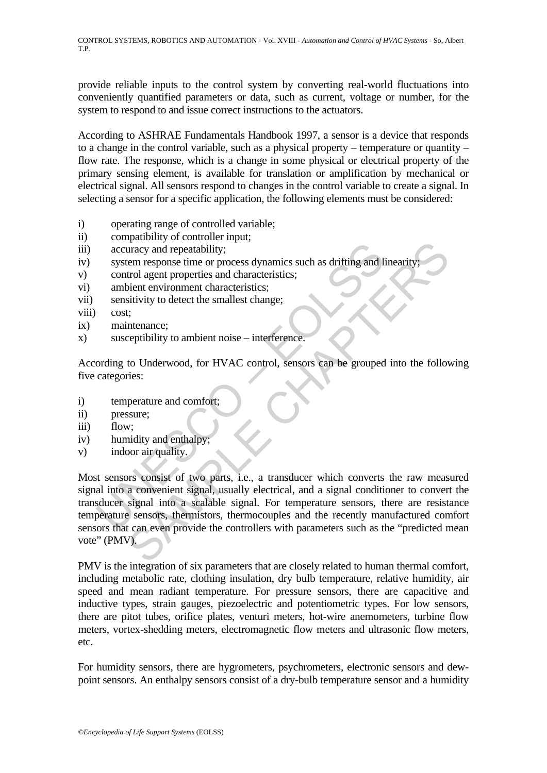provide reliable inputs to the control system by converting real-world fluctuations into conveniently quantified parameters or data, such as current, voltage or number, for the system to respond to and issue correct instructions to the actuators.

According to ASHRAE Fundamentals Handbook 1997, a sensor is a device that responds to a change in the control variable, such as a physical property – temperature or quantity – flow rate. The response, which is a change in some physical or electrical property of the primary sensing element, is available for translation or amplification by mechanical or electrical signal. All sensors respond to changes in the control variable to create a signal. In selecting a sensor for a specific application, the following elements must be considered:

- i) operating range of controlled variable;
- ii) compatibility of controller input;
- iii) accuracy and repeatability;
- iv) system response time or process dynamics such as drifting and linearity
- v) control agent properties and characteristics;
- vi) ambient environment characteristics;
- vii) sensitivity to detect the smallest change;
- viii) cost;
- ix) maintenance;
- x) susceptibility to ambient noise interference.

According to Underwood, for HVAC control, sensors can be grouped into the following five categories:

- i) temperature and comfort;
- ii) pressure;
- iii) flow;
- iv) humidity and enthalpy
- v) indoor air quality.

accuracy and repeatability;<br>system response time or process dynamics such as drifting and I<br>control agent properties and characteristics;<br>ambient environment characteristics;<br>sensitivity to detect the smallest change;<br>cost The strategy and repeatability;<br>
the mesponse time or process dynamics such as drifting and linearity;<br>
the diagnt properties and characteristics;<br>
stivity to detect the smallest change;<br>
t;<br>
thenance;<br>
t;<br>
thenance;<br>
t;<br> Most sensors consist of two parts, i.e., a transducer which converts the raw measured signal into a convenient signal, usually electrical, and a signal conditioner to convert the transducer signal into a scalable signal. For temperature sensors, there are resistance temperature sensors, thermistors, thermocouples and the recently manufactured comfort sensors that can even provide the controllers with parameters such as the "predicted mean vote" (PMV).

PMV is the integration of six parameters that are closely related to human thermal comfort, including metabolic rate, clothing insulation, dry bulb temperature, relative humidity, air speed and mean radiant temperature. For pressure sensors, there are capacitive and inductive types, strain gauges, piezoelectric and potentiometric types. For low sensors, there are pitot tubes, orifice plates, venturi meters, hot-wire anemometers, turbine flow meters, vortex-shedding meters, electromagnetic flow meters and ultrasonic flow meters, etc.

For humidity sensors, there are hygrometers, psychrometers, electronic sensors and dewpoint sensors. An enthalpy sensors consist of a dry-bulb temperature sensor and a humidity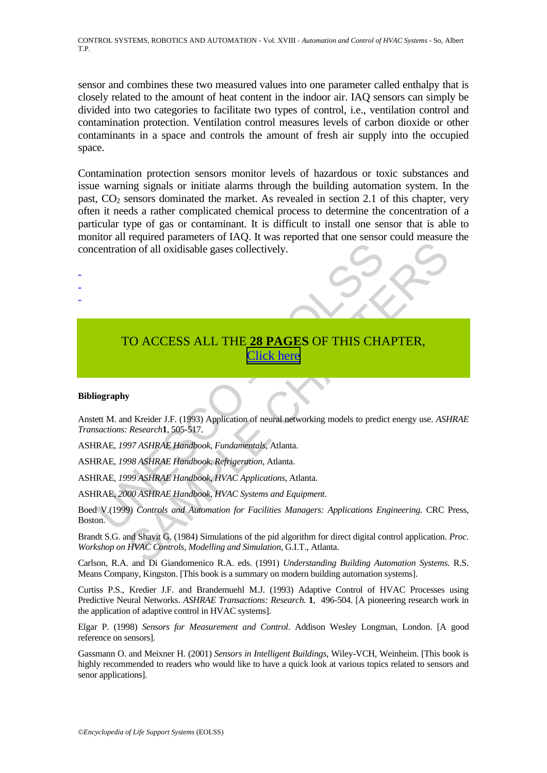sensor and combines these two measured values into one parameter called enthalpy that is closely related to the amount of heat content in the indoor air. IAQ sensors can simply be divided into two categories to facilitate two types of control, i.e., ventilation control and contamination protection. Ventilation control measures levels of carbon dioxide or other contaminants in a space and controls the amount of fresh air supply into the occupied space.

Contamination protection sensors monitor levels of hazardous or toxic substances and issue warning signals or initiate alarms through the building automation system. In the past,  $CO<sub>2</sub>$  sensors dominated the market. As revealed in section 2.1 of this chapter, very often it needs a rather complicated chemical process to determine the concentration of a particular type of gas or contaminant. It is difficult to install one sensor that is able to monitor all required parameters of IAQ. It was reported that one sensor could measure the concentration of all oxidisable gases collectively.

# C[O](https://www.eolss.net/ebooklib/sc_cart.aspx?File=E6-43-32-02)NTRAINSIP[E](http://www.eolss.net/Eolss-sampleAllChapter.aspx)D ACCESS ALL THE 28 PAGES OF THIS CHANNED TO ACCESS ALL THE 28 PAGES OF THIS CHANNED CONTRAINSIPED AND RELATIONSITY OF THIS CHANNED CONTRAINSIPED AND RELATIONS AND RELATIONS ARE A 1997 ASHRAE Handbook, Fundamen The Controls and States and Equipment.<br>
The product of the product of the product of the product of the product of the product of the product of the Research (1,505-317).<br>
SAMPLE CHAPTER, Click here<br>
SAMPLE CHAPTER, Click TO ACCESS ALL THE **28 PAGES** OF THIS CHAPTER, Click here

### **Bibliography**

- - -

Anstett M. and Kreider J.F. (1993) Application of neural networking models to predict energy use. *ASHRAE Transactions: Research***1**, 505-517.

ASHRAE, *1997 ASHRAE Handbook, Fundamentals*, Atlanta.

ASHRAE, *1998 ASHRAE Handbook, Refrigeration*, Atlanta.

ASHRAE, *1999 ASHRAE Handbook, HVAC Applications*, Atlanta.

ASHRAE, *2000 ASHRAE Handbook, HVAC Systems and Equipment*.

Boed V.(1999) *Controls and Automation for Facilities Managers: Applications Engineering*. CRC Press, Boston.

Brandt S.G. and Shavit G. (1984) Simulations of the pid algorithm for direct digital control application. *Proc. Workshop on HVAC Controls, Modelling and Simulation*, G.I.T., Atlanta.

Carlson, R.A. and Di Giandomenico R.A. eds. (1991) *Understanding Building Automation Systems*. R.S. Means Company, Kingston. [This book is a summary on modern building automation systems].

Curtiss P.S., Kredier J.F. and Brandemuehl M.J. (1993) Adaptive Control of HVAC Processes using Predictive Neural Networks. *ASHRAE Transactions: Research.* **1**, 496-504. [A pioneering research work in the application of adaptive control in HVAC systems].

Elgar P. (1998) *Sensors for Measurement and Control*. Addison Wesley Longman, London. [A good reference on sensors].

Gassmann O. and Meixner H. (2001) *Sensors in Intelligent Buildings*, Wiley-VCH, Weinheim. [This book is highly recommended to readers who would like to have a quick look at various topics related to sensors and senor applications].